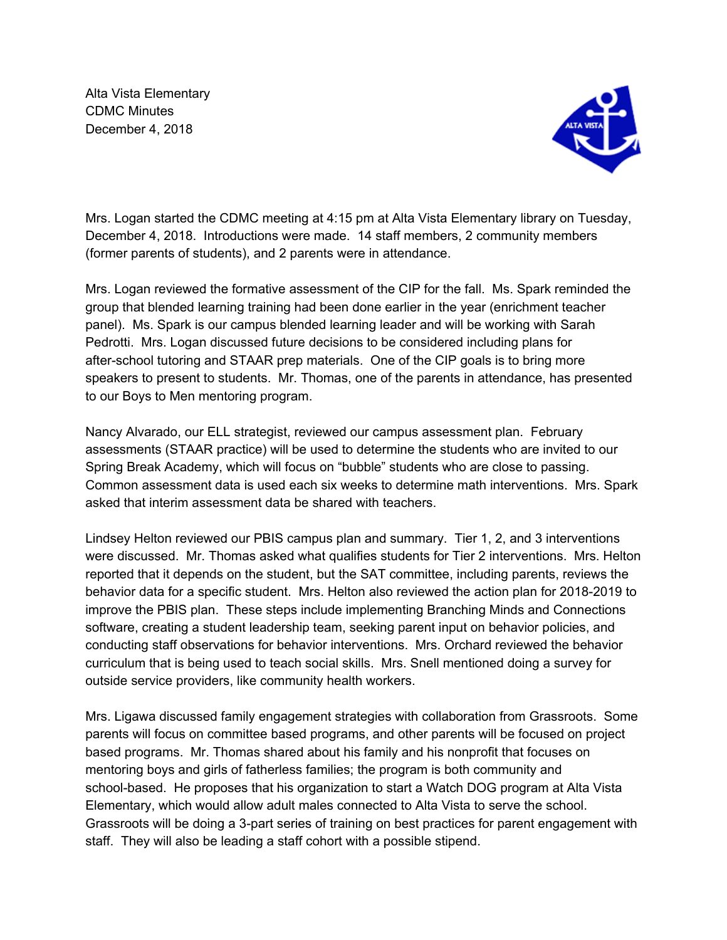Alta Vista Elementary CDMC Minutes December 4, 2018



Mrs. Logan started the CDMC meeting at 4:15 pm at Alta Vista Elementary library on Tuesday, December 4, 2018. Introductions were made. 14 staff members, 2 community members (former parents of students), and 2 parents were in attendance.

Mrs. Logan reviewed the formative assessment of the CIP for the fall. Ms. Spark reminded the group that blended learning training had been done earlier in the year (enrichment teacher panel). Ms. Spark is our campus blended learning leader and will be working with Sarah Pedrotti. Mrs. Logan discussed future decisions to be considered including plans for after-school tutoring and STAAR prep materials. One of the CIP goals is to bring more speakers to present to students. Mr. Thomas, one of the parents in attendance, has presented to our Boys to Men mentoring program.

Nancy Alvarado, our ELL strategist, reviewed our campus assessment plan. February assessments (STAAR practice) will be used to determine the students who are invited to our Spring Break Academy, which will focus on "bubble" students who are close to passing. Common assessment data is used each six weeks to determine math interventions. Mrs. Spark asked that interim assessment data be shared with teachers.

Lindsey Helton reviewed our PBIS campus plan and summary. Tier 1, 2, and 3 interventions were discussed. Mr. Thomas asked what qualifies students for Tier 2 interventions. Mrs. Helton reported that it depends on the student, but the SAT committee, including parents, reviews the behavior data for a specific student. Mrs. Helton also reviewed the action plan for 2018-2019 to improve the PBIS plan. These steps include implementing Branching Minds and Connections software, creating a student leadership team, seeking parent input on behavior policies, and conducting staff observations for behavior interventions. Mrs. Orchard reviewed the behavior curriculum that is being used to teach social skills. Mrs. Snell mentioned doing a survey for outside service providers, like community health workers.

Mrs. Ligawa discussed family engagement strategies with collaboration from Grassroots. Some parents will focus on committee based programs, and other parents will be focused on project based programs. Mr. Thomas shared about his family and his nonprofit that focuses on mentoring boys and girls of fatherless families; the program is both community and school-based. He proposes that his organization to start a Watch DOG program at Alta Vista Elementary, which would allow adult males connected to Alta Vista to serve the school. Grassroots will be doing a 3-part series of training on best practices for parent engagement with staff. They will also be leading a staff cohort with a possible stipend.